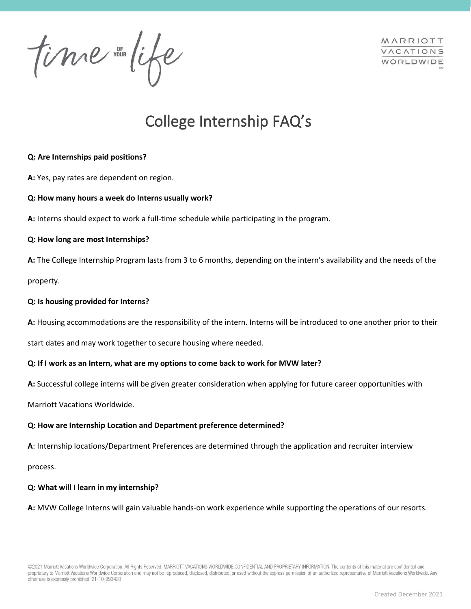time in life

MARRIOTT VACATIONS WORLDWIDE

# College Internship FAQ's

# **Q: Are Internships paid positions?**

**A:** Yes, pay rates are dependent on region.

# **Q: How many hours a week do Interns usually work?**

**A:** Interns should expect to work a full-time schedule while participating in the program.

# **Q: How long are most Internships?**

**A:** The College Internship Program lasts from 3 to 6 months, depending on the intern's availability and the needs of the property.

# **Q: Is housing provided for Interns?**

**A:** Housing accommodations are the responsibility of the intern. Interns will be introduced to one another prior to their

start dates and may work together to secure housing where needed.

# **Q: If I work as an Intern, what are my options to come back to work for MVW later?**

**A:** Successful college interns will be given greater consideration when applying for future career opportunities with

Marriott Vacations Worldwide.

# **Q: How are Internship Location and Department preference determined?**

**A**: Internship locations/Department Preferences are determined through the application and recruiter interview

process.

## **Q: What will I learn in my internship?**

**A:** MVW College Interns will gain valuable hands-on work experience while supporting the operations of our resorts.